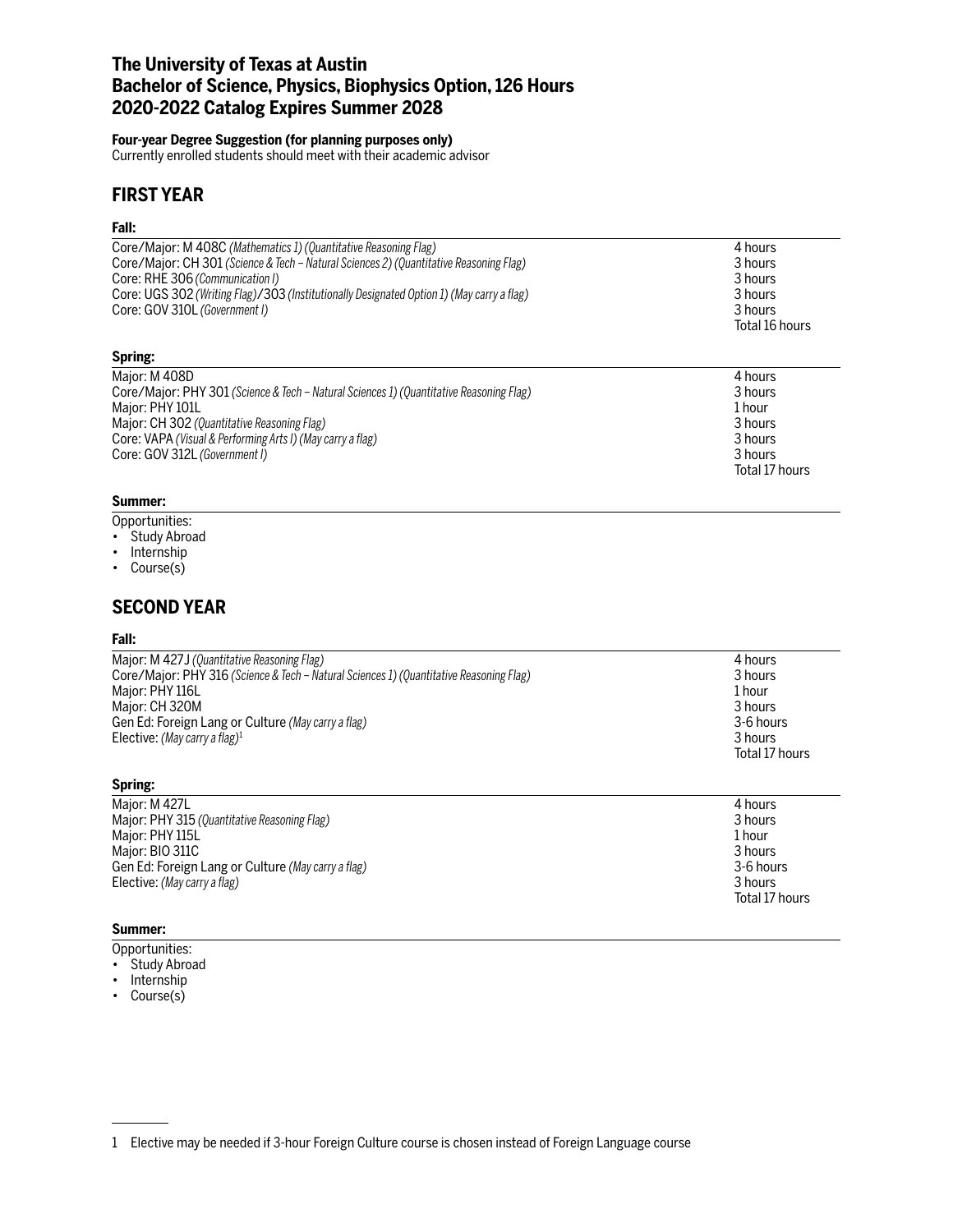# **The University of Texas at Austin Bachelor of Science, Physics, Biophysics Option, 126 Hours 2020-2022 Catalog Expires Summer 2028**

## **Four-year Degree Suggestion (for planning purposes only)**

Currently enrolled students should meet with their academic advisor

# **FIRST YEAR**

## **Fall:**

| Core/Major: M 408C (Mathematics 1) (Quantitative Reasoning Flag)<br>Core/Major: CH 301 (Science & Tech – Natural Sciences 2) (Quantitative Reasoning Flag)<br>Core: RHE 306 (Communication I)<br>Core: UGS 302 (Writing Flag)/303 (Institutionally Designated Option 1) (May carry a flag)<br>Core: GOV 310L (Government I) | 4 hours<br>3 hours<br>3 hours<br>3 hours<br>3 hours<br>Total 16 hours |
|-----------------------------------------------------------------------------------------------------------------------------------------------------------------------------------------------------------------------------------------------------------------------------------------------------------------------------|-----------------------------------------------------------------------|
| Spring:                                                                                                                                                                                                                                                                                                                     |                                                                       |
| Major: M 408D<br>Core/Major: PHY 301 (Science & Tech – Natural Sciences 1) (Quantitative Reasoning Flag)<br>Major: PHY 101L<br>Major: CH 302 (Quantitative Reasoning Flag)<br>Core: VAPA (Visual & Performing Arts I) (May carry a flag)<br>Core: GOV 312L (Government I)                                                   | 4 hours<br>3 hours<br>1 hour<br>3 hours<br>3 hours<br>3 hours         |
|                                                                                                                                                                                                                                                                                                                             | Total 17 hours                                                        |

### **Summer:**

Opportunities:

- Study Abroad
- Internship
- Course(s)

# **SECOND YEAR**

### **Fall:**

| 4 hours        |
|----------------|
| 3 hours        |
| 1 hour         |
| 3 hours        |
| 3-6 hours      |
| 3 hours        |
| Total 17 hours |
|                |
|                |

Total 17 hours

| Major: M 427L                                      | 4 hours     |
|----------------------------------------------------|-------------|
| Major: PHY 315 (Quantitative Reasoning Flag)       | 3 hours     |
| Major: PHY 115L                                    | 1 hour      |
| Major: BIO 311C                                    | 3 hours     |
| Gen Ed: Foreign Lang or Culture (May carry a flag) | 3-6 hours   |
| Elective: (May carry a flag)                       | 3 hours     |
|                                                    | Total 17 hr |

## **Summer:**

- Opportunities:
- Study Abroad
- Internship
- Course(s)

<sup>1</sup> Elective may be needed if 3-hour Foreign Culture course is chosen instead of Foreign Language course